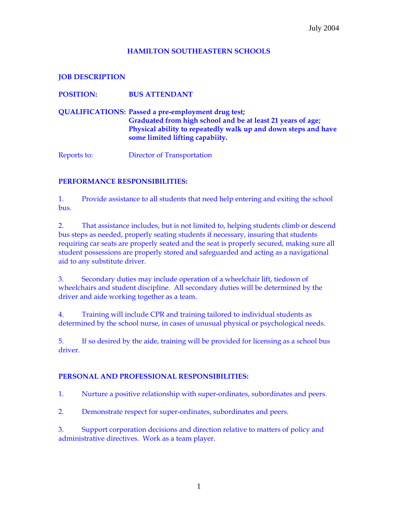## **HAMILTON SOUTHEASTERN SCHOOLS**

**JOB DESCRIPTION** 

**POSITION: BUS ATTENDANT** 

**QUALIFICATIONS: Passed a pre-employment drug test; Graduated from high school and be at least 21 years of age; Physical ability to repeatedly walk up and down steps and have some limited lifting capabiity.** 

Reports to: Director of Transportation

## **PERFORMANCE RESPONSIBILITIES:**

1. Provide assistance to all students that need help entering and exiting the school bus.

2. That assistance includes, but is not limited to, helping students climb or descend bus steps as needed, properly seating students if necessary, insuring that students requiring car seats are properly seated and the seat is properly secured, making sure all student possessions are properly stored and safeguarded and acting as a navigational aid to any substitute driver.

3. Secondary duties may include operation of a wheelchair lift, tiedown of wheelchairs and student discipline. All secondary duties will be determined by the driver and aide working together as a team.

4. Training will include CPR and training tailored to individual students as determined by the school nurse, in cases of unusual physical or psychological needs.

5. If so desired by the aide, training will be provided for licensing as a school bus driver.

## **PERSONAL AND PROFESSIONAL RESPONSIBILITIES:**

1. Nurture a positive relationship with super-ordinates, subordinates and peers.

2. Demonstrate respect for super-ordinates, subordinates and peers.

3. Support corporation decisions and direction relative to matters of policy and administrative directives. Work as a team player.